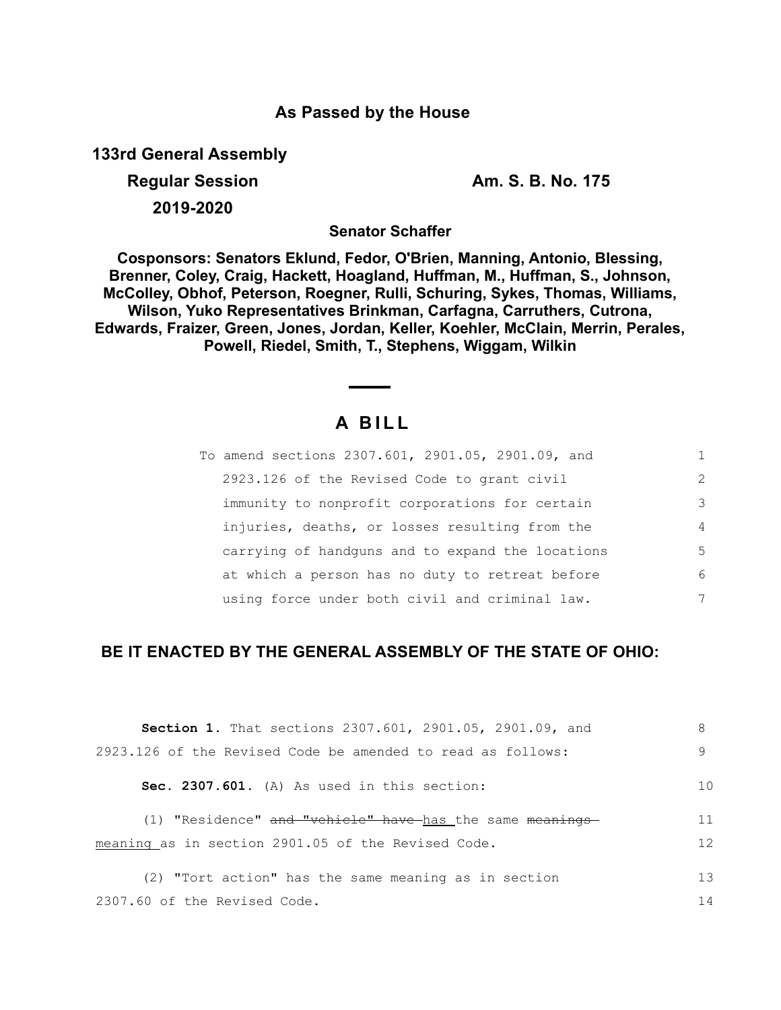## **As Passed by the House**

**133rd General Assembly**

**Regular Session Am. S. B. No. 175 2019-2020**

**Senator Schaffer**

**Cosponsors: Senators Eklund, Fedor, O'Brien, Manning, Antonio, Blessing, Brenner, Coley, Craig, Hackett, Hoagland, Huffman, M., Huffman, S., Johnson, McColley, Obhof, Peterson, Roegner, Rulli, Schuring, Sykes, Thomas, Williams, Wilson, Yuko Representatives Brinkman, Carfagna, Carruthers, Cutrona, Edwards, Fraizer, Green, Jones, Jordan, Keller, Koehler, McClain, Merrin, Perales, Powell, Riedel, Smith, T., Stephens, Wiggam, Wilkin**

# **A B I L L**

| To amend sections 2307.601, 2901.05, 2901.09, and |                |
|---------------------------------------------------|----------------|
| 2923.126 of the Revised Code to grant civil       | $\mathcal{L}$  |
| immunity to nonprofit corporations for certain    | 3              |
| injuries, deaths, or losses resulting from the    | $\overline{4}$ |
| carrying of handguns and to expand the locations  | 5              |
| at which a person has no duty to retreat before   | 6              |
| using force under both civil and criminal law.    | 7              |

## **BE IT ENACTED BY THE GENERAL ASSEMBLY OF THE STATE OF OHIO:**

| <b>Section 1.</b> That sections 2307.601, 2901.05, 2901.09, and | 8              |
|-----------------------------------------------------------------|----------------|
| 2923.126 of the Revised Code be amended to read as follows:     | 9              |
| Sec. 2307.601. (A) As used in this section:                     | 1 <sub>0</sub> |
| (1) "Residence" and "vehicle" have-has the same meanings-       | 11             |
| meaning as in section 2901.05 of the Revised Code.              | 12             |
| (2) "Tort action" has the same meaning as in section            | 13             |
| 2307.60 of the Revised Code.                                    | 14             |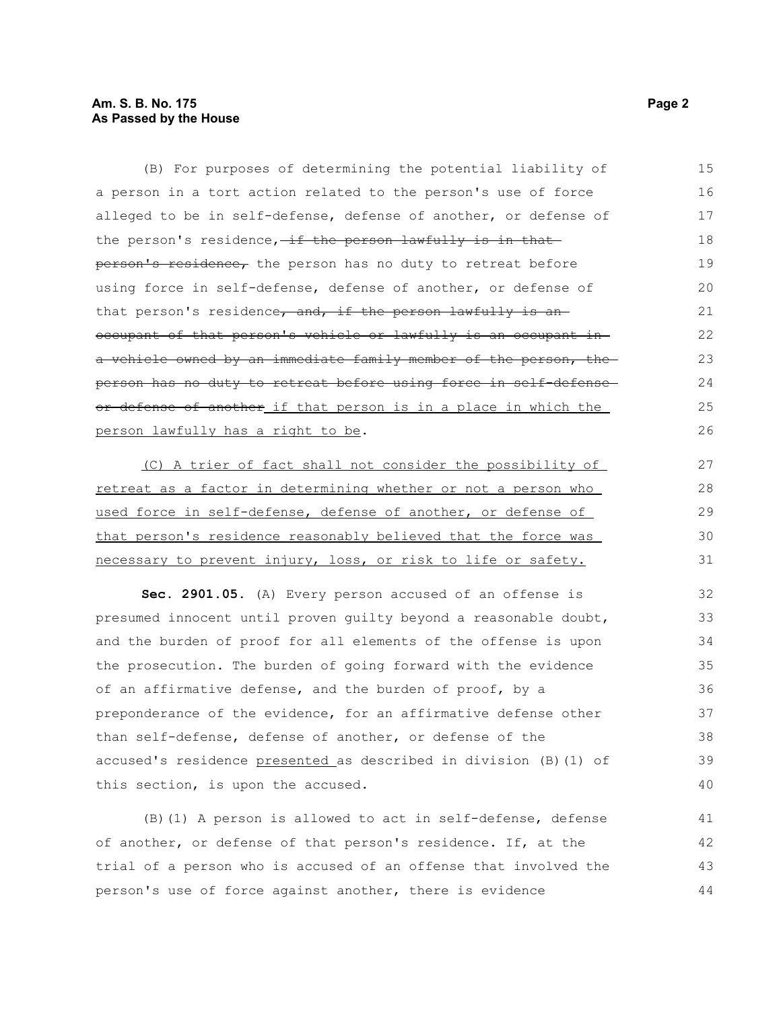#### **Am. S. B. No. 175** Page 2 **As Passed by the House**

(B) For purposes of determining the potential liability of a person in a tort action related to the person's use of force alleged to be in self-defense, defense of another, or defense of the person's residence, if the person lawfully is in thatperson's residence, the person has no duty to retreat before using force in self-defense, defense of another, or defense of that person's residence, and, if the person lawfully is anoccupant of that person's vehicle or lawfully is an occupant in a vehicle owned by an immediate family member of the person, the person has no duty to retreat before using force in self-defense or defense of another if that person is in a place in which the person lawfully has a right to be. 15 16 17 18 19 20 21 22 23 24 25 26

(C) A trier of fact shall not consider the possibility of retreat as a factor in determining whether or not a person who used force in self-defense, defense of another, or defense of that person's residence reasonably believed that the force was necessary to prevent injury, loss, or risk to life or safety.

**Sec. 2901.05.** (A) Every person accused of an offense is presumed innocent until proven guilty beyond a reasonable doubt, and the burden of proof for all elements of the offense is upon the prosecution. The burden of going forward with the evidence of an affirmative defense, and the burden of proof, by a preponderance of the evidence, for an affirmative defense other than self-defense, defense of another, or defense of the accused's residence presented as described in division (B)(1) of this section, is upon the accused. 32 33 34 35 36 37 38 39 40

(B)(1) A person is allowed to act in self-defense, defense of another, or defense of that person's residence. If, at the trial of a person who is accused of an offense that involved the person's use of force against another, there is evidence 41 42 43 44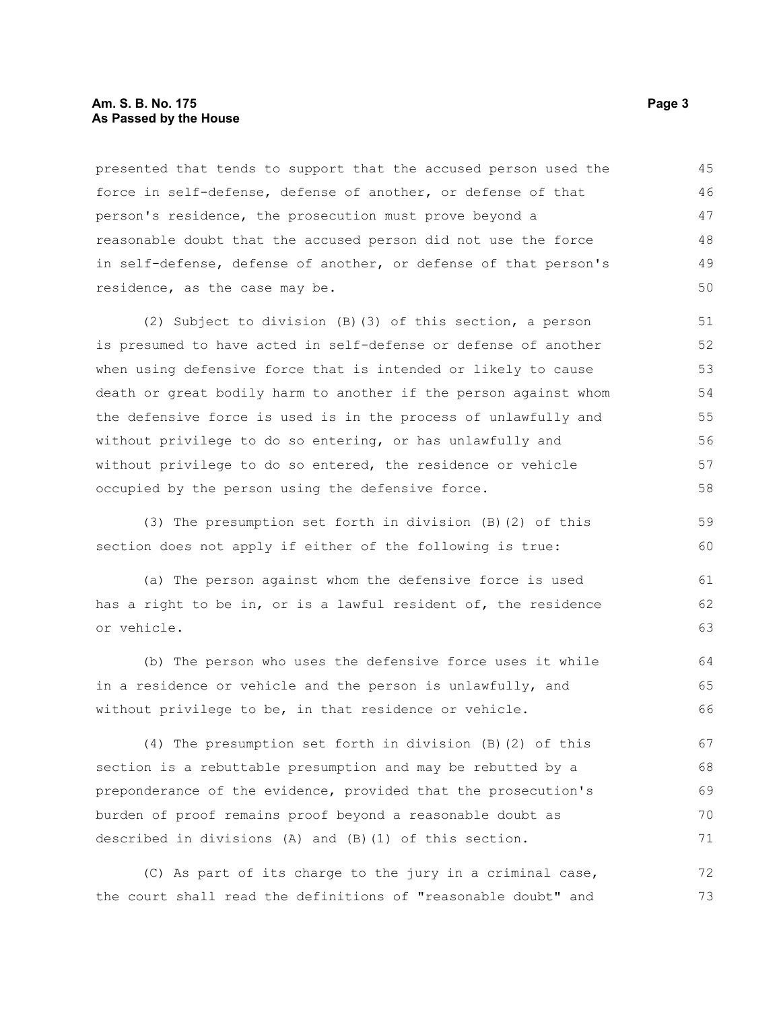#### **Am. S. B. No. 175** Page 3 **As Passed by the House**

presented that tends to support that the accused person used the force in self-defense, defense of another, or defense of that person's residence, the prosecution must prove beyond a reasonable doubt that the accused person did not use the force in self-defense, defense of another, or defense of that person's residence, as the case may be. 45 46 47 48 49 50

(2) Subject to division (B)(3) of this section, a person is presumed to have acted in self-defense or defense of another when using defensive force that is intended or likely to cause death or great bodily harm to another if the person against whom the defensive force is used is in the process of unlawfully and without privilege to do so entering, or has unlawfully and without privilege to do so entered, the residence or vehicle occupied by the person using the defensive force. 51 52 53 54 55 56 57 58

(3) The presumption set forth in division (B)(2) of this section does not apply if either of the following is true:

(a) The person against whom the defensive force is used has a right to be in, or is a lawful resident of, the residence or vehicle.

(b) The person who uses the defensive force uses it while in a residence or vehicle and the person is unlawfully, and without privilege to be, in that residence or vehicle.

(4) The presumption set forth in division (B)(2) of this section is a rebuttable presumption and may be rebutted by a preponderance of the evidence, provided that the prosecution's burden of proof remains proof beyond a reasonable doubt as described in divisions (A) and (B)(1) of this section. 67 68 69 70 71

(C) As part of its charge to the jury in a criminal case, the court shall read the definitions of "reasonable doubt" and 72 73

59 60

61 62 63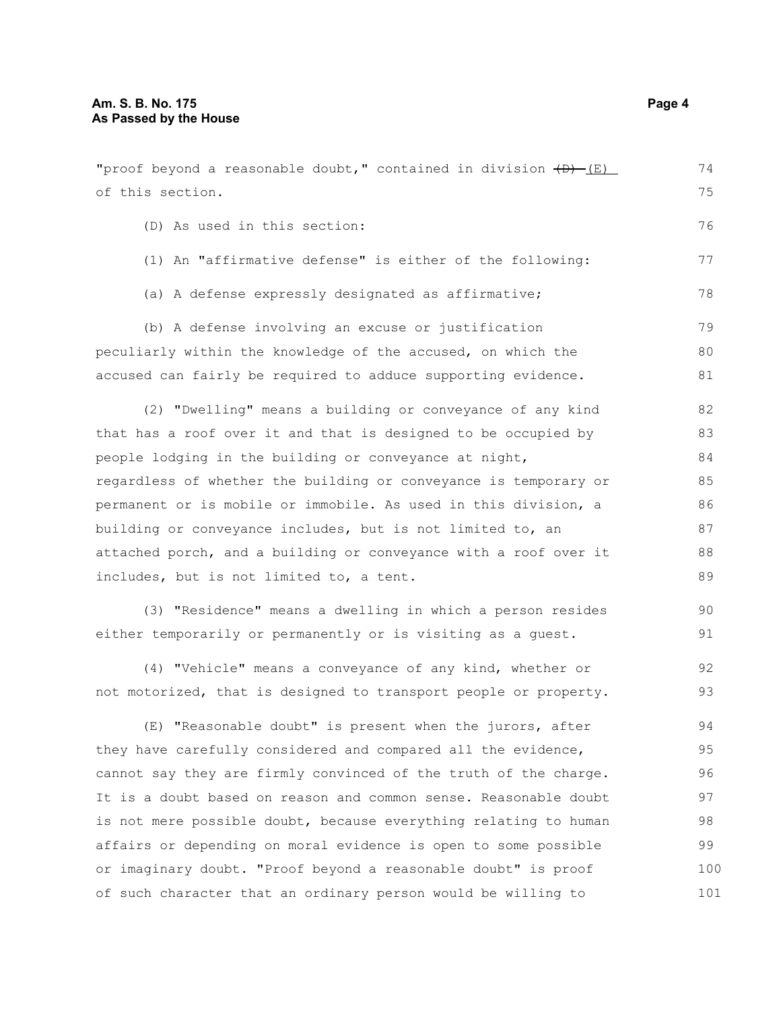"proof beyond a reasonable doubt," contained in division  $(D) - (E)$ of this section. (D) As used in this section: (1) An "affirmative defense" is either of the following: (a) A defense expressly designated as affirmative; (b) A defense involving an excuse or justification peculiarly within the knowledge of the accused, on which the accused can fairly be required to adduce supporting evidence. (2) "Dwelling" means a building or conveyance of any kind that has a roof over it and that is designed to be occupied by people lodging in the building or conveyance at night, regardless of whether the building or conveyance is temporary or permanent or is mobile or immobile. As used in this division, a building or conveyance includes, but is not limited to, an attached porch, and a building or conveyance with a roof over it includes, but is not limited to, a tent. (3) "Residence" means a dwelling in which a person resides either temporarily or permanently or is visiting as a guest. 74 75 76 77 78 79 80 81 82 83 84 85 86 87 88 89 90 91

(4) "Vehicle" means a conveyance of any kind, whether or not motorized, that is designed to transport people or property. 92 93

(E) "Reasonable doubt" is present when the jurors, after they have carefully considered and compared all the evidence, cannot say they are firmly convinced of the truth of the charge. It is a doubt based on reason and common sense. Reasonable doubt is not mere possible doubt, because everything relating to human affairs or depending on moral evidence is open to some possible or imaginary doubt. "Proof beyond a reasonable doubt" is proof of such character that an ordinary person would be willing to 94 95 96 97 98 99 100 101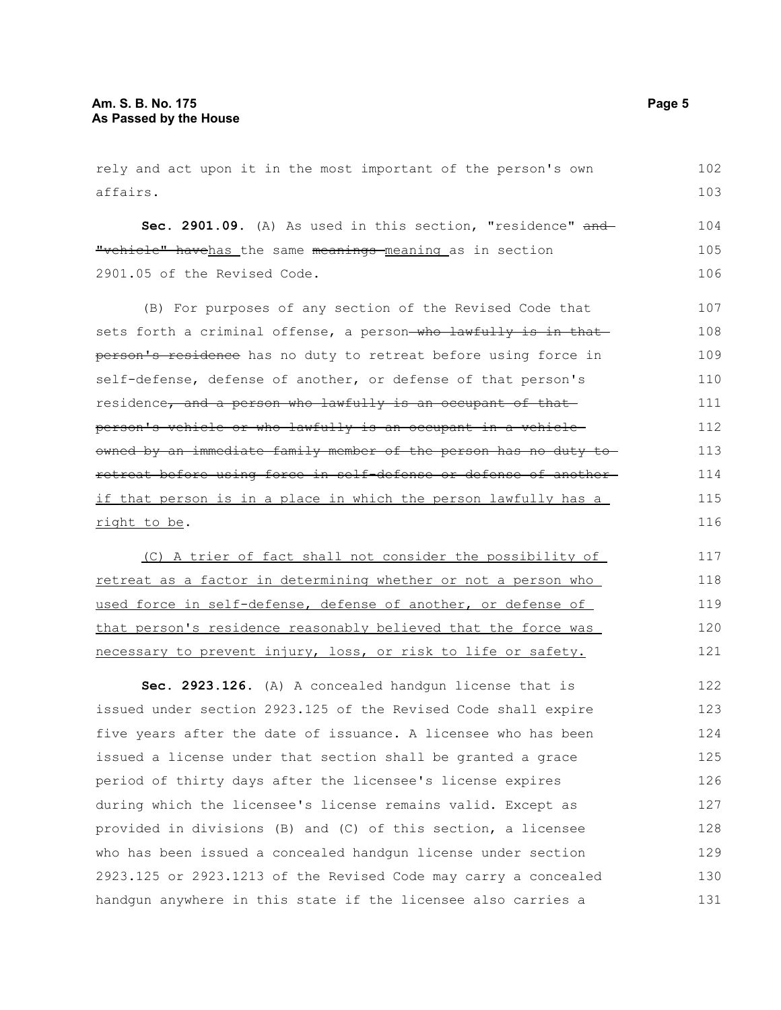rely and act upon it in the most important of the person's own affairs. 102 103

Sec. 2901.09. (A) As used in this section, "residence" and **"vehicle"** havehas the same meanings meaning as in section 2901.05 of the Revised Code. 104 105 106

(B) For purposes of any section of the Revised Code that sets forth a criminal offense, a person-who lawfully is in that person's residence has no duty to retreat before using force in self-defense, defense of another, or defense of that person's residence, and a person who lawfully is an occupant of that person's vehicle or who lawfully is an occupant in a vehicle owned by an immediate family member of the person has no duty to retreat before using force in self-defense or defense of another if that person is in a place in which the person lawfully has a right to be. 107 108 109 110 111 112 113 114 115 116

(C) A trier of fact shall not consider the possibility of retreat as a factor in determining whether or not a person who used force in self-defense, defense of another, or defense of that person's residence reasonably believed that the force was necessary to prevent injury, loss, or risk to life or safety.

**Sec. 2923.126.** (A) A concealed handgun license that is issued under section 2923.125 of the Revised Code shall expire five years after the date of issuance. A licensee who has been issued a license under that section shall be granted a grace period of thirty days after the licensee's license expires during which the licensee's license remains valid. Except as provided in divisions (B) and (C) of this section, a licensee who has been issued a concealed handgun license under section 2923.125 or 2923.1213 of the Revised Code may carry a concealed handgun anywhere in this state if the licensee also carries a 122 123 124 125 126 127 128 129 130 131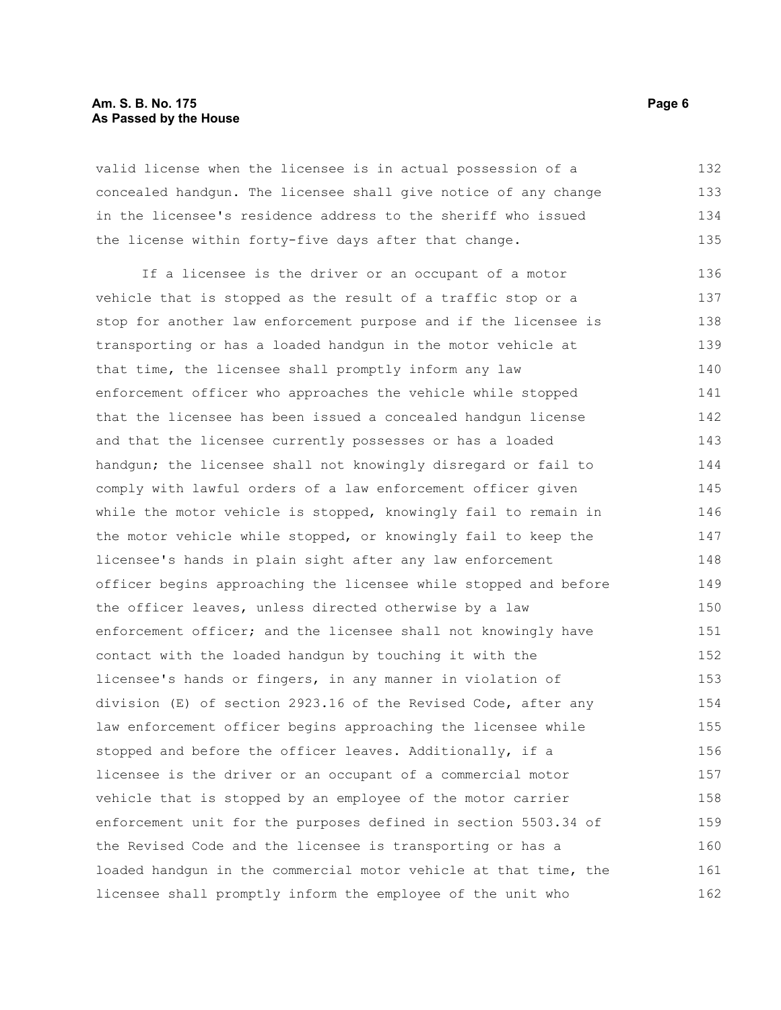#### **Am. S. B. No. 175** Page 6 **As Passed by the House**

valid license when the licensee is in actual possession of a concealed handgun. The licensee shall give notice of any change in the licensee's residence address to the sheriff who issued the license within forty-five days after that change. 132 133 134 135

If a licensee is the driver or an occupant of a motor vehicle that is stopped as the result of a traffic stop or a stop for another law enforcement purpose and if the licensee is transporting or has a loaded handgun in the motor vehicle at that time, the licensee shall promptly inform any law enforcement officer who approaches the vehicle while stopped that the licensee has been issued a concealed handgun license and that the licensee currently possesses or has a loaded handgun; the licensee shall not knowingly disregard or fail to comply with lawful orders of a law enforcement officer given while the motor vehicle is stopped, knowingly fail to remain in the motor vehicle while stopped, or knowingly fail to keep the licensee's hands in plain sight after any law enforcement officer begins approaching the licensee while stopped and before the officer leaves, unless directed otherwise by a law enforcement officer; and the licensee shall not knowingly have contact with the loaded handgun by touching it with the licensee's hands or fingers, in any manner in violation of division (E) of section 2923.16 of the Revised Code, after any law enforcement officer begins approaching the licensee while stopped and before the officer leaves. Additionally, if a licensee is the driver or an occupant of a commercial motor vehicle that is stopped by an employee of the motor carrier enforcement unit for the purposes defined in section 5503.34 of the Revised Code and the licensee is transporting or has a loaded handgun in the commercial motor vehicle at that time, the licensee shall promptly inform the employee of the unit who 136 137 138 139 140 141 142 143 144 145 146 147 148 149 150 151 152 153 154 155 156 157 158 159 160 161 162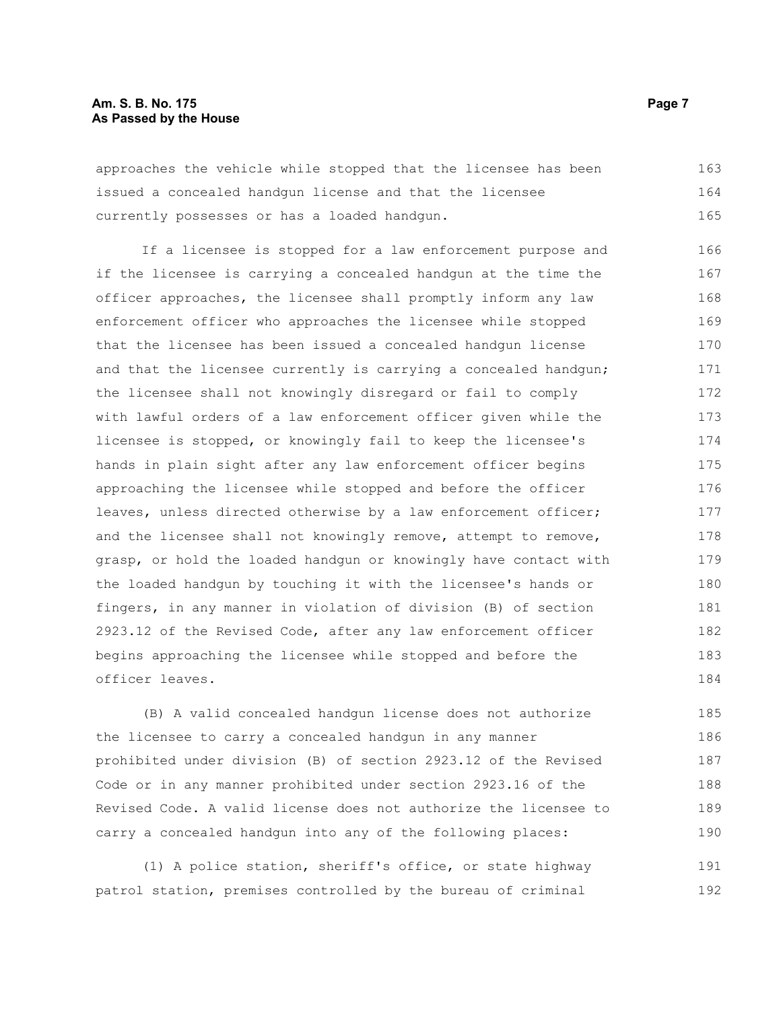approaches the vehicle while stopped that the licensee has been issued a concealed handgun license and that the licensee currently possesses or has a loaded handgun. 163 164 165

If a licensee is stopped for a law enforcement purpose and if the licensee is carrying a concealed handgun at the time the officer approaches, the licensee shall promptly inform any law enforcement officer who approaches the licensee while stopped that the licensee has been issued a concealed handgun license and that the licensee currently is carrying a concealed handgun; the licensee shall not knowingly disregard or fail to comply with lawful orders of a law enforcement officer given while the licensee is stopped, or knowingly fail to keep the licensee's hands in plain sight after any law enforcement officer begins approaching the licensee while stopped and before the officer leaves, unless directed otherwise by a law enforcement officer; and the licensee shall not knowingly remove, attempt to remove, grasp, or hold the loaded handgun or knowingly have contact with the loaded handgun by touching it with the licensee's hands or fingers, in any manner in violation of division (B) of section 2923.12 of the Revised Code, after any law enforcement officer begins approaching the licensee while stopped and before the officer leaves. 166 167 168 169 170 171 172 173 174 175 176 177 178 179 180 181 182 183 184

(B) A valid concealed handgun license does not authorize the licensee to carry a concealed handgun in any manner prohibited under division (B) of section 2923.12 of the Revised Code or in any manner prohibited under section 2923.16 of the Revised Code. A valid license does not authorize the licensee to carry a concealed handgun into any of the following places: 185 186 187 188 189 190

(1) A police station, sheriff's office, or state highway patrol station, premises controlled by the bureau of criminal 191 192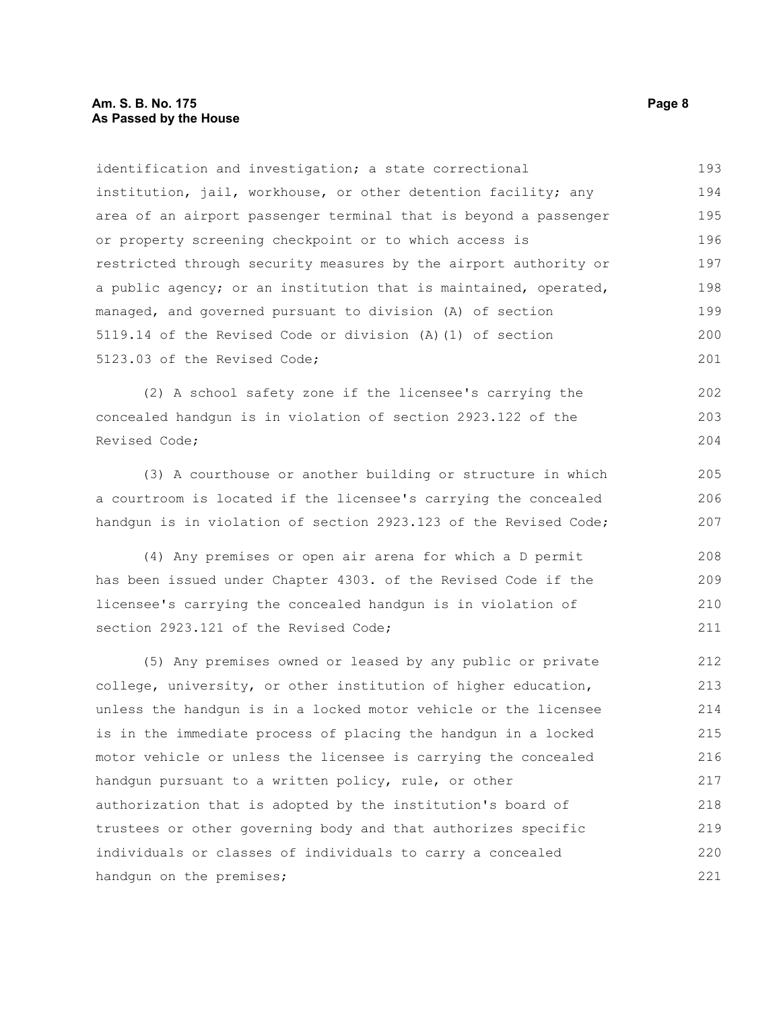#### **Am. S. B. No. 175** Page 8 **As Passed by the House**

identification and investigation; a state correctional institution, jail, workhouse, or other detention facility; any area of an airport passenger terminal that is beyond a passenger or property screening checkpoint or to which access is restricted through security measures by the airport authority or a public agency; or an institution that is maintained, operated, managed, and governed pursuant to division (A) of section 5119.14 of the Revised Code or division (A)(1) of section 5123.03 of the Revised Code; 193 194 195 196 197 198 199 200 201

(2) A school safety zone if the licensee's carrying the concealed handgun is in violation of section 2923.122 of the Revised Code;

(3) A courthouse or another building or structure in which a courtroom is located if the licensee's carrying the concealed handgun is in violation of section 2923.123 of the Revised Code;

(4) Any premises or open air arena for which a D permit has been issued under Chapter 4303. of the Revised Code if the licensee's carrying the concealed handgun is in violation of section 2923.121 of the Revised Code;

(5) Any premises owned or leased by any public or private college, university, or other institution of higher education, unless the handgun is in a locked motor vehicle or the licensee is in the immediate process of placing the handgun in a locked motor vehicle or unless the licensee is carrying the concealed handgun pursuant to a written policy, rule, or other authorization that is adopted by the institution's board of trustees or other governing body and that authorizes specific individuals or classes of individuals to carry a concealed handgun on the premises; 212 213 214 215 216 217 218 219 220 221

202 203 204

205 206 207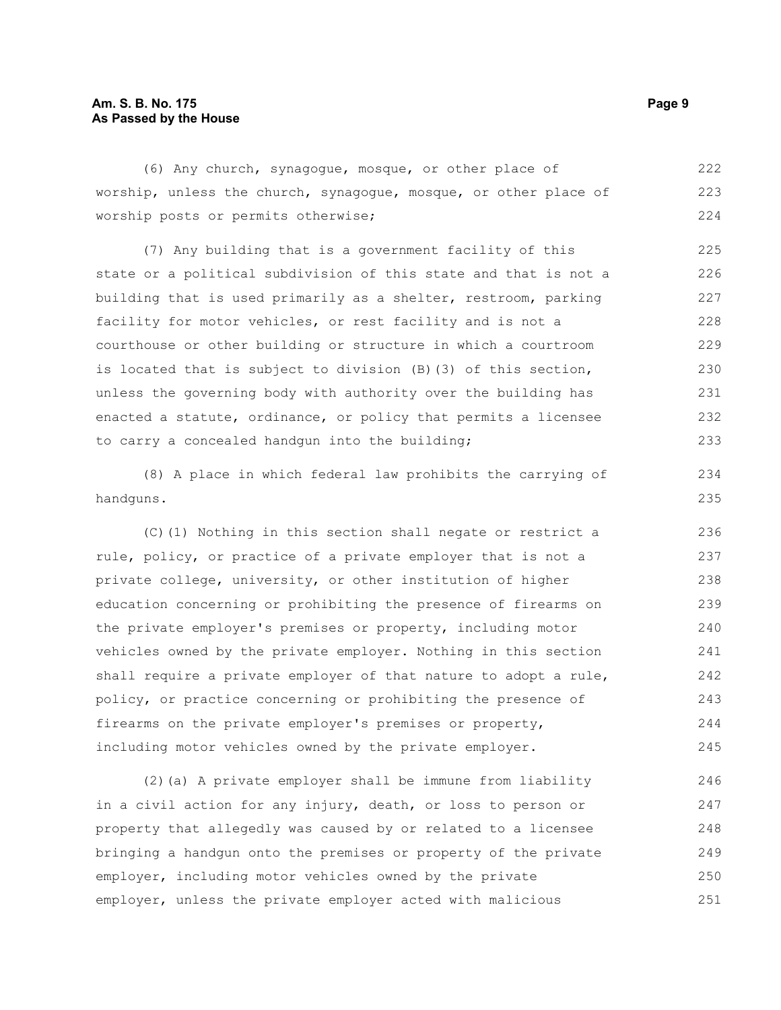#### **Am. S. B. No. 175** Page 9 **As Passed by the House**

(6) Any church, synagogue, mosque, or other place of worship, unless the church, synagogue, mosque, or other place of worship posts or permits otherwise; 222 223 224

(7) Any building that is a government facility of this state or a political subdivision of this state and that is not a building that is used primarily as a shelter, restroom, parking facility for motor vehicles, or rest facility and is not a courthouse or other building or structure in which a courtroom is located that is subject to division (B)(3) of this section, unless the governing body with authority over the building has enacted a statute, ordinance, or policy that permits a licensee to carry a concealed handgun into the building; 225 226 227 228 229 230 231 232 233

(8) A place in which federal law prohibits the carrying of handguns.

(C)(1) Nothing in this section shall negate or restrict a rule, policy, or practice of a private employer that is not a private college, university, or other institution of higher education concerning or prohibiting the presence of firearms on the private employer's premises or property, including motor vehicles owned by the private employer. Nothing in this section shall require a private employer of that nature to adopt a rule, policy, or practice concerning or prohibiting the presence of firearms on the private employer's premises or property, including motor vehicles owned by the private employer. 236 237 238 239 240 241 242 243 244 245

(2)(a) A private employer shall be immune from liability in a civil action for any injury, death, or loss to person or property that allegedly was caused by or related to a licensee bringing a handgun onto the premises or property of the private employer, including motor vehicles owned by the private employer, unless the private employer acted with malicious 246 247 248 249 250 251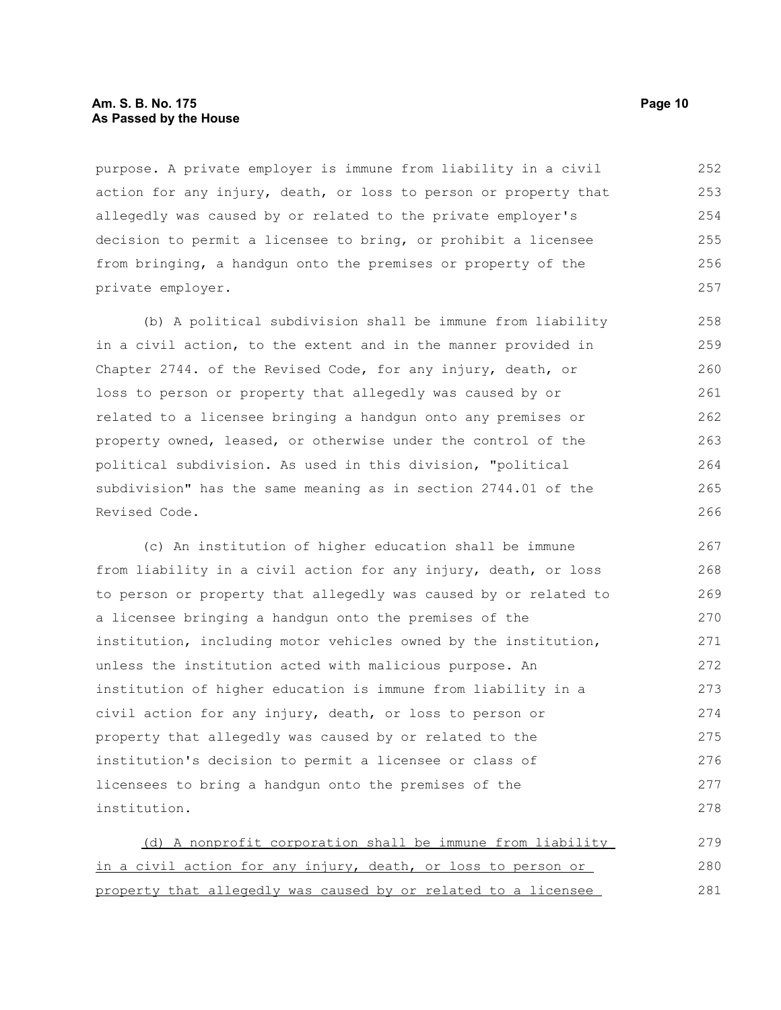#### **Am. S. B. No. 175 Page 10 As Passed by the House**

purpose. A private employer is immune from liability in a civil action for any injury, death, or loss to person or property that allegedly was caused by or related to the private employer's decision to permit a licensee to bring, or prohibit a licensee from bringing, a handgun onto the premises or property of the private employer. 252 253 254 255 256 257

(b) A political subdivision shall be immune from liability in a civil action, to the extent and in the manner provided in Chapter 2744. of the Revised Code, for any injury, death, or loss to person or property that allegedly was caused by or related to a licensee bringing a handgun onto any premises or property owned, leased, or otherwise under the control of the political subdivision. As used in this division, "political subdivision" has the same meaning as in section 2744.01 of the Revised Code. 258 259 260 261 262 263 264 265 266

(c) An institution of higher education shall be immune from liability in a civil action for any injury, death, or loss to person or property that allegedly was caused by or related to a licensee bringing a handgun onto the premises of the institution, including motor vehicles owned by the institution, unless the institution acted with malicious purpose. An institution of higher education is immune from liability in a civil action for any injury, death, or loss to person or property that allegedly was caused by or related to the institution's decision to permit a licensee or class of licensees to bring a handgun onto the premises of the institution. 267 268 269 270 271 272 273 274 275 276 277 278

(d) A nonprofit corporation shall be immune from liability in a civil action for any injury, death, or loss to person or property that allegedly was caused by or related to a licensee 279 280 281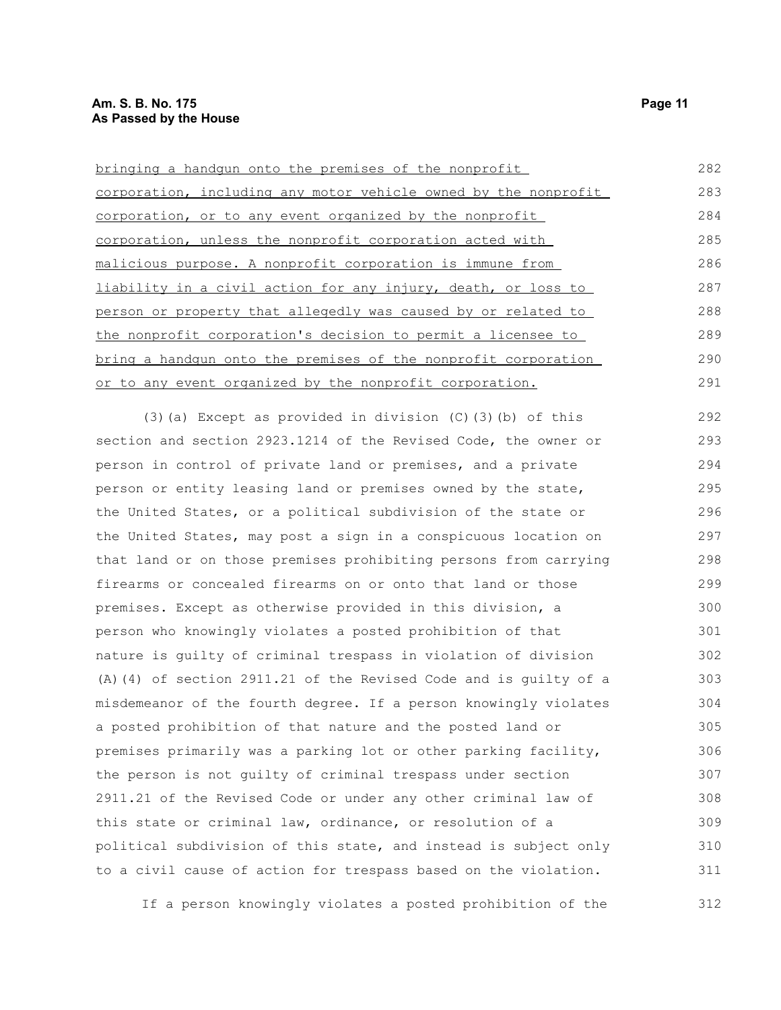bringing a handgun onto the premises of the nonprofit corporation, including any motor vehicle owned by the nonprofit corporation, or to any event organized by the nonprofit corporation, unless the nonprofit corporation acted with malicious purpose. A nonprofit corporation is immune from liability in a civil action for any injury, death, or loss to person or property that allegedly was caused by or related to the nonprofit corporation's decision to permit a licensee to bring a handgun onto the premises of the nonprofit corporation or to any event organized by the nonprofit corporation. 282 283 284 285 286 287 288 289 290 291

(3)(a) Except as provided in division (C)(3)(b) of this section and section 2923.1214 of the Revised Code, the owner or person in control of private land or premises, and a private person or entity leasing land or premises owned by the state, the United States, or a political subdivision of the state or the United States, may post a sign in a conspicuous location on that land or on those premises prohibiting persons from carrying firearms or concealed firearms on or onto that land or those premises. Except as otherwise provided in this division, a person who knowingly violates a posted prohibition of that nature is guilty of criminal trespass in violation of division (A)(4) of section 2911.21 of the Revised Code and is guilty of a misdemeanor of the fourth degree. If a person knowingly violates a posted prohibition of that nature and the posted land or premises primarily was a parking lot or other parking facility, the person is not guilty of criminal trespass under section 2911.21 of the Revised Code or under any other criminal law of this state or criminal law, ordinance, or resolution of a political subdivision of this state, and instead is subject only to a civil cause of action for trespass based on the violation. 292 293 294 295 296 297 298 299 300 301 302 303 304 305 306 307 308 309 310 311

If a person knowingly violates a posted prohibition of the 312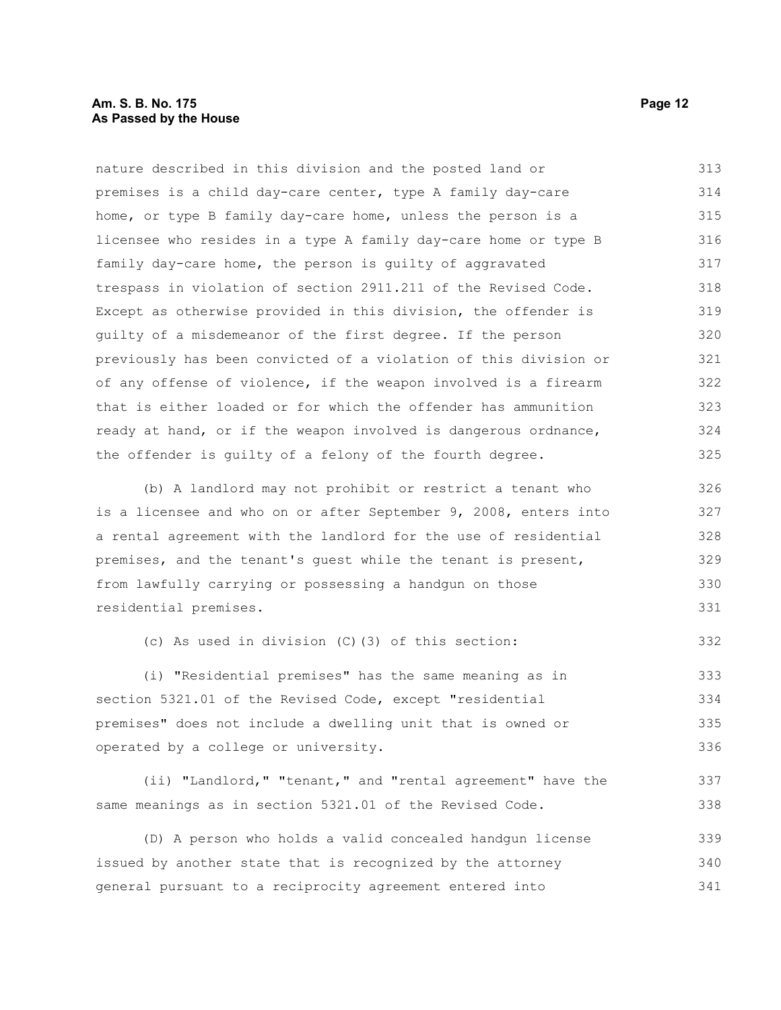#### **Am. S. B. No. 175 Page 12 As Passed by the House**

nature described in this division and the posted land or premises is a child day-care center, type A family day-care home, or type B family day-care home, unless the person is a licensee who resides in a type A family day-care home or type B family day-care home, the person is guilty of aggravated trespass in violation of section 2911.211 of the Revised Code. Except as otherwise provided in this division, the offender is guilty of a misdemeanor of the first degree. If the person previously has been convicted of a violation of this division or of any offense of violence, if the weapon involved is a firearm that is either loaded or for which the offender has ammunition ready at hand, or if the weapon involved is dangerous ordnance, the offender is guilty of a felony of the fourth degree. 313 314 315 316 317 318 319 320 321 322 323 324 325

(b) A landlord may not prohibit or restrict a tenant who is a licensee and who on or after September 9, 2008, enters into a rental agreement with the landlord for the use of residential premises, and the tenant's guest while the tenant is present, from lawfully carrying or possessing a handgun on those residential premises. 326 327 328 329 330 331

(c) As used in division (C)(3) of this section: 332

(i) "Residential premises" has the same meaning as in section 5321.01 of the Revised Code, except "residential premises" does not include a dwelling unit that is owned or operated by a college or university. 333 334 335 336

(ii) "Landlord," "tenant," and "rental agreement" have the same meanings as in section 5321.01 of the Revised Code. 337 338

(D) A person who holds a valid concealed handgun license issued by another state that is recognized by the attorney general pursuant to a reciprocity agreement entered into 339 340 341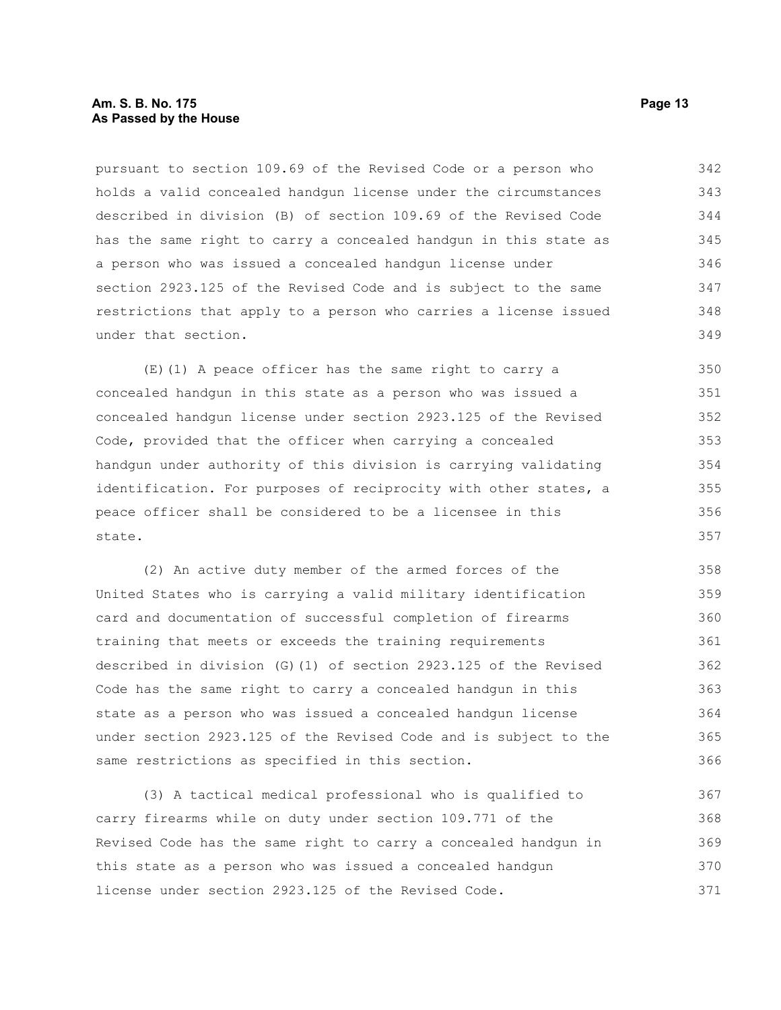#### **Am. S. B. No. 175 Page 13 As Passed by the House**

pursuant to section 109.69 of the Revised Code or a person who holds a valid concealed handgun license under the circumstances described in division (B) of section 109.69 of the Revised Code has the same right to carry a concealed handgun in this state as a person who was issued a concealed handgun license under section 2923.125 of the Revised Code and is subject to the same restrictions that apply to a person who carries a license issued under that section. 342 343 344 345 346 347 348 349

(E)(1) A peace officer has the same right to carry a concealed handgun in this state as a person who was issued a concealed handgun license under section 2923.125 of the Revised Code, provided that the officer when carrying a concealed handgun under authority of this division is carrying validating identification. For purposes of reciprocity with other states, a peace officer shall be considered to be a licensee in this state. 350 351 352 353 354 355 356 357

(2) An active duty member of the armed forces of the United States who is carrying a valid military identification card and documentation of successful completion of firearms training that meets or exceeds the training requirements described in division (G)(1) of section 2923.125 of the Revised Code has the same right to carry a concealed handgun in this state as a person who was issued a concealed handgun license under section 2923.125 of the Revised Code and is subject to the same restrictions as specified in this section. 358 359 360 361 362 363 364 365 366

(3) A tactical medical professional who is qualified to carry firearms while on duty under section 109.771 of the Revised Code has the same right to carry a concealed handgun in this state as a person who was issued a concealed handgun license under section 2923.125 of the Revised Code. 367 368 369 370 371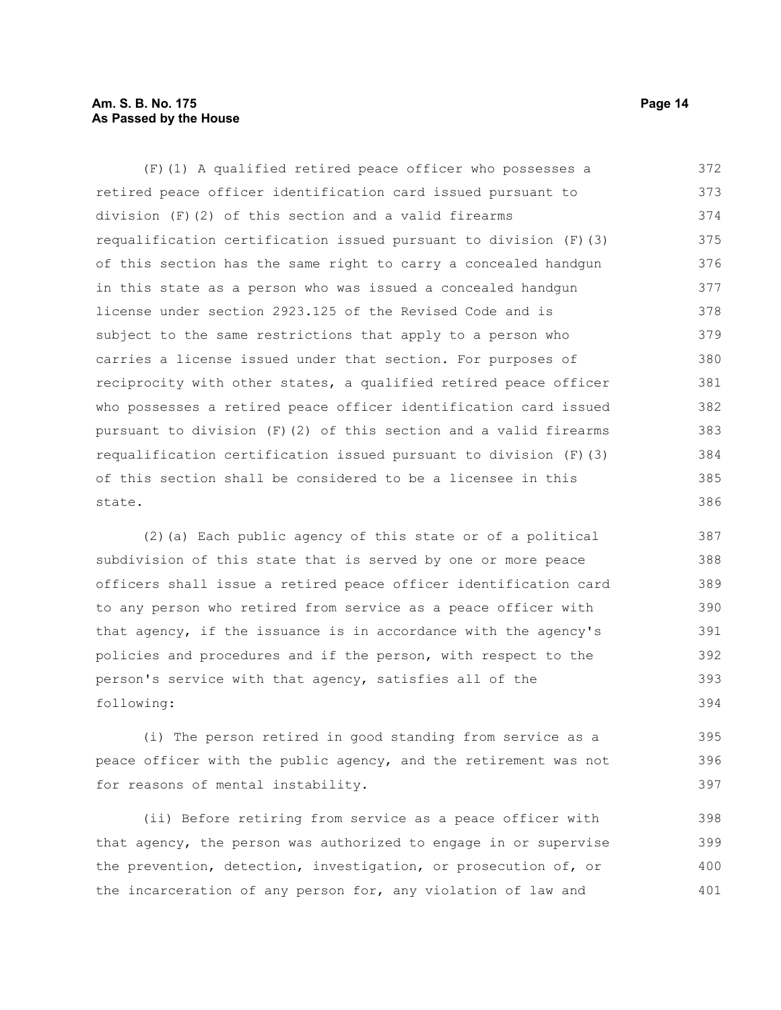#### **Am. S. B. No. 175 Page 14 As Passed by the House**

(F)(1) A qualified retired peace officer who possesses a retired peace officer identification card issued pursuant to division (F)(2) of this section and a valid firearms requalification certification issued pursuant to division (F)(3) of this section has the same right to carry a concealed handgun in this state as a person who was issued a concealed handgun license under section 2923.125 of the Revised Code and is subject to the same restrictions that apply to a person who carries a license issued under that section. For purposes of reciprocity with other states, a qualified retired peace officer who possesses a retired peace officer identification card issued pursuant to division (F)(2) of this section and a valid firearms requalification certification issued pursuant to division (F)(3) of this section shall be considered to be a licensee in this state. 372 373 374 375 376 377 378 379 380 381 382 383 384 385 386

(2)(a) Each public agency of this state or of a political subdivision of this state that is served by one or more peace officers shall issue a retired peace officer identification card to any person who retired from service as a peace officer with that agency, if the issuance is in accordance with the agency's policies and procedures and if the person, with respect to the person's service with that agency, satisfies all of the following: 387 388 389 390 391 392 393 394

(i) The person retired in good standing from service as a peace officer with the public agency, and the retirement was not for reasons of mental instability. 395 396 397

(ii) Before retiring from service as a peace officer with that agency, the person was authorized to engage in or supervise the prevention, detection, investigation, or prosecution of, or the incarceration of any person for, any violation of law and 398 399 400 401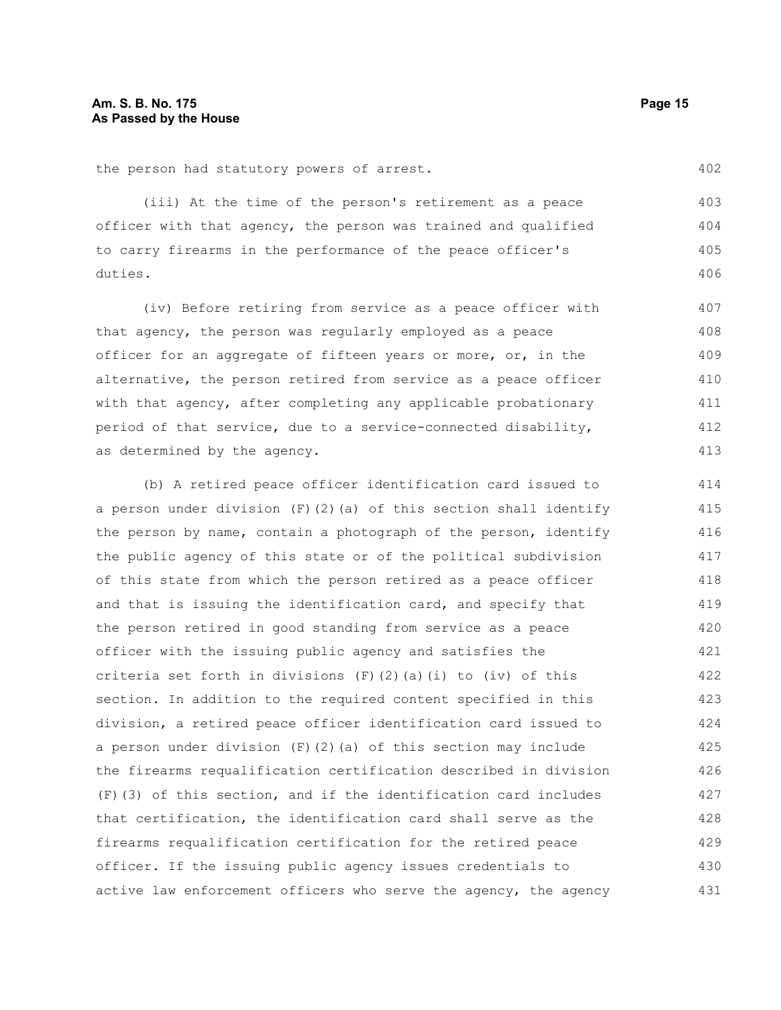the person had statutory powers of arrest.

(iii) At the time of the person's retirement as a peace officer with that agency, the person was trained and qualified to carry firearms in the performance of the peace officer's duties. 403 404 405 406

(iv) Before retiring from service as a peace officer with that agency, the person was regularly employed as a peace officer for an aggregate of fifteen years or more, or, in the alternative, the person retired from service as a peace officer with that agency, after completing any applicable probationary period of that service, due to a service-connected disability, as determined by the agency. 407 408 409 410 411 412 413

(b) A retired peace officer identification card issued to a person under division  $(F)$  (2)(a) of this section shall identify the person by name, contain a photograph of the person, identify the public agency of this state or of the political subdivision of this state from which the person retired as a peace officer and that is issuing the identification card, and specify that the person retired in good standing from service as a peace officer with the issuing public agency and satisfies the criteria set forth in divisions  $(F)$   $(2)$   $(a)$   $(i)$  to  $(iv)$  of this section. In addition to the required content specified in this division, a retired peace officer identification card issued to a person under division  $(F)(2)(a)$  of this section may include the firearms requalification certification described in division (F)(3) of this section, and if the identification card includes that certification, the identification card shall serve as the firearms requalification certification for the retired peace officer. If the issuing public agency issues credentials to active law enforcement officers who serve the agency, the agency 414 415 416 417 418 419 420 421 422 423 424 425 426 427 428 429 430 431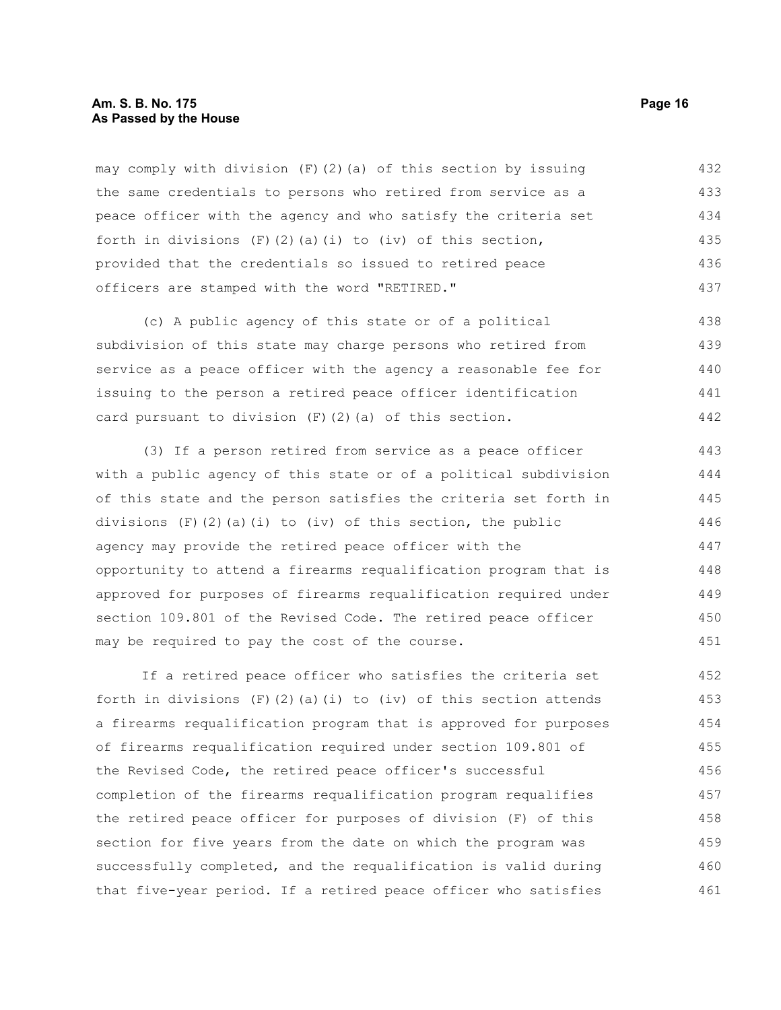#### **Am. S. B. No. 175 Page 16 As Passed by the House**

may comply with division  $(F)(2)(a)$  of this section by issuing the same credentials to persons who retired from service as a peace officer with the agency and who satisfy the criteria set forth in divisions  $(F)(2)(a)(i)$  to (iv) of this section, provided that the credentials so issued to retired peace officers are stamped with the word "RETIRED." 432 433 434 435 436 437

(c) A public agency of this state or of a political subdivision of this state may charge persons who retired from service as a peace officer with the agency a reasonable fee for issuing to the person a retired peace officer identification card pursuant to division (F)(2)(a) of this section. 438 439 440 441 442

(3) If a person retired from service as a peace officer with a public agency of this state or of a political subdivision of this state and the person satisfies the criteria set forth in divisions  $(F)(2)(a)(i)$  to (iv) of this section, the public agency may provide the retired peace officer with the opportunity to attend a firearms requalification program that is approved for purposes of firearms requalification required under section 109.801 of the Revised Code. The retired peace officer may be required to pay the cost of the course. 443 444 445 446 447 448 449 450 451

If a retired peace officer who satisfies the criteria set forth in divisions  $(F)(2)(a)(i)$  to (iv) of this section attends a firearms requalification program that is approved for purposes of firearms requalification required under section 109.801 of the Revised Code, the retired peace officer's successful completion of the firearms requalification program requalifies the retired peace officer for purposes of division (F) of this section for five years from the date on which the program was successfully completed, and the requalification is valid during that five-year period. If a retired peace officer who satisfies 452 453 454 455 456 457 458 459 460 461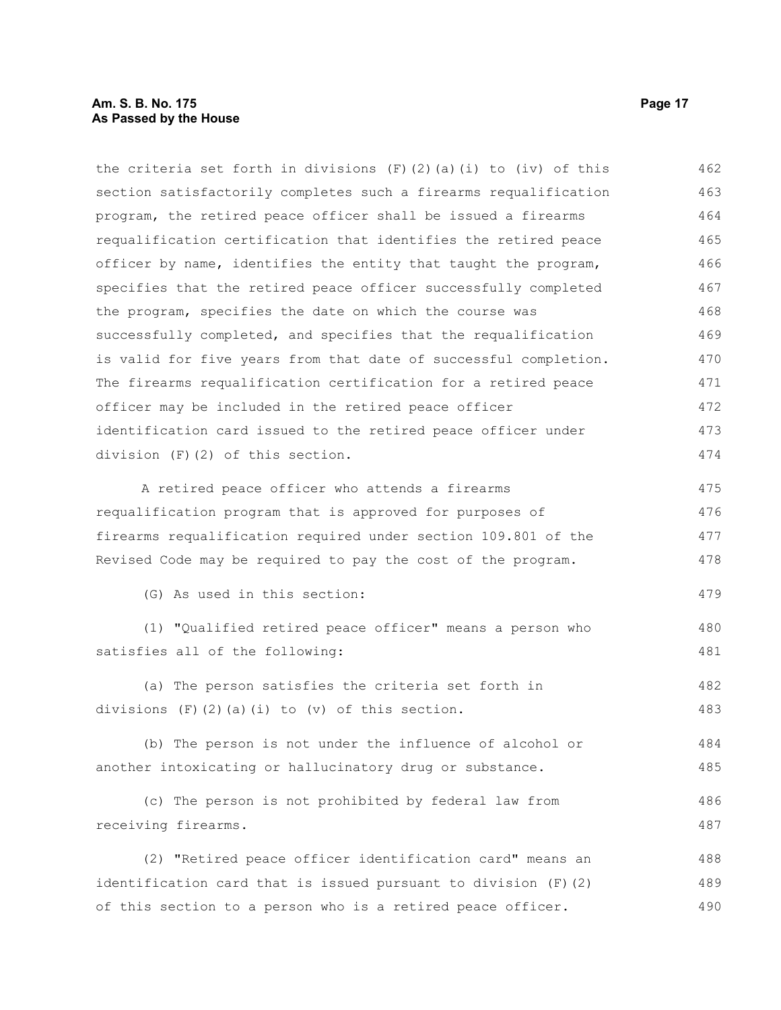#### **Am. S. B. No. 175 Page 17 As Passed by the House**

the criteria set forth in divisions  $(F)(2)(a)(i)$  to (iv) of this section satisfactorily completes such a firearms requalification program, the retired peace officer shall be issued a firearms requalification certification that identifies the retired peace officer by name, identifies the entity that taught the program, specifies that the retired peace officer successfully completed the program, specifies the date on which the course was successfully completed, and specifies that the requalification is valid for five years from that date of successful completion. The firearms requalification certification for a retired peace officer may be included in the retired peace officer identification card issued to the retired peace officer under division (F)(2) of this section. A retired peace officer who attends a firearms requalification program that is approved for purposes of firearms requalification required under section 109.801 of the Revised Code may be required to pay the cost of the program. (G) As used in this section: (1) "Qualified retired peace officer" means a person who satisfies all of the following: (a) The person satisfies the criteria set forth in divisions  $(F)$   $(2)$   $(a)$   $(i)$  to  $(v)$  of this section. (b) The person is not under the influence of alcohol or another intoxicating or hallucinatory drug or substance. (c) The person is not prohibited by federal law from receiving firearms. (2) "Retired peace officer identification card" means an identification card that is issued pursuant to division (F)(2) of this section to a person who is a retired peace officer. 462 463 464 465 466 467 468 469 470 471 472 473 474 475 476 477 478 479 480 481 482 483 484 485 486 487 488 489 490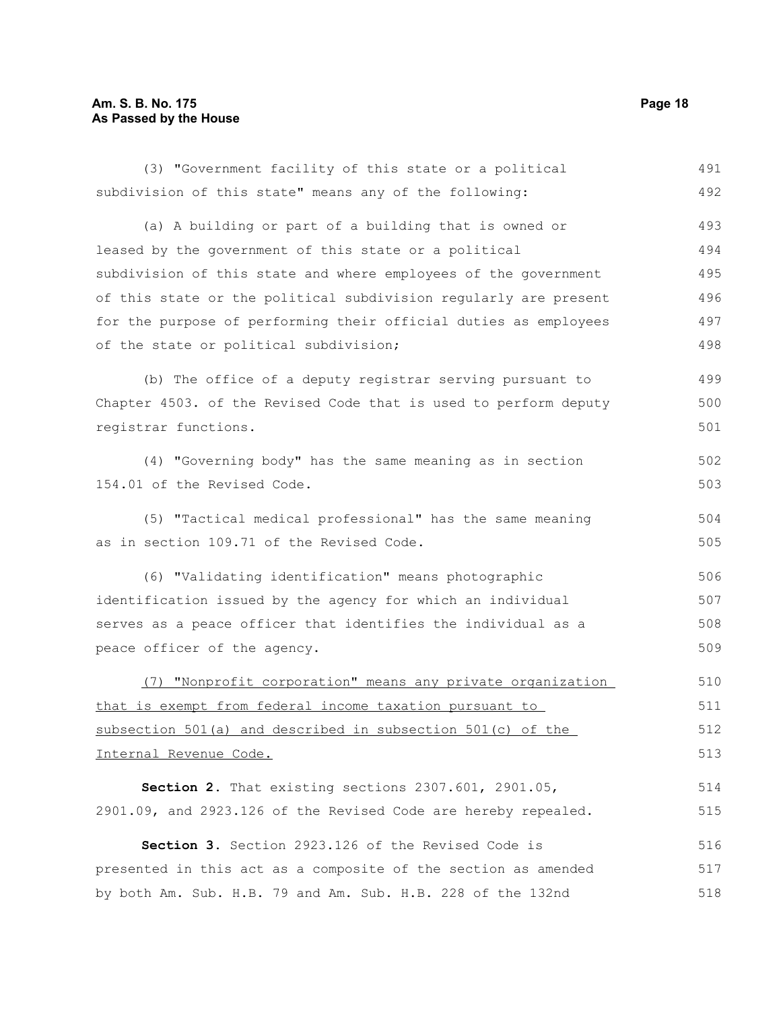### **Am. S. B. No. 175 Page 18 As Passed by the House**

| (3) "Government facility of this state or a political            | 491 |
|------------------------------------------------------------------|-----|
| subdivision of this state" means any of the following:           | 492 |
| (a) A building or part of a building that is owned or            | 493 |
| leased by the government of this state or a political            | 494 |
| subdivision of this state and where employees of the government  | 495 |
| of this state or the political subdivision regularly are present | 496 |
| for the purpose of performing their official duties as employees | 497 |
| of the state or political subdivision;                           | 498 |
| (b) The office of a deputy registrar serving pursuant to         | 499 |
| Chapter 4503. of the Revised Code that is used to perform deputy | 500 |
| registrar functions.                                             | 501 |
| (4) "Governing body" has the same meaning as in section          | 502 |
| 154.01 of the Revised Code.                                      | 503 |
| (5) "Tactical medical professional" has the same meaning         | 504 |
| as in section 109.71 of the Revised Code.                        | 505 |
| (6) "Validating identification" means photographic               | 506 |
| identification issued by the agency for which an individual      | 507 |
| serves as a peace officer that identifies the individual as a    |     |
| peace officer of the agency.                                     | 509 |
| (7) "Nonprofit corporation" means any private organization       | 510 |
| that is exempt from federal income taxation pursuant to          | 511 |
| subsection 501(a) and described in subsection 501(c) of the      | 512 |
| Internal Revenue Code.                                           | 513 |
| Section 2. That existing sections 2307.601, 2901.05,             | 514 |
| 2901.09, and 2923.126 of the Revised Code are hereby repealed.   | 515 |
| Section 3. Section 2923.126 of the Revised Code is               | 516 |
| presented in this act as a composite of the section as amended   | 517 |
| by both Am. Sub. H.B. 79 and Am. Sub. H.B. 228 of the 132nd      | 518 |